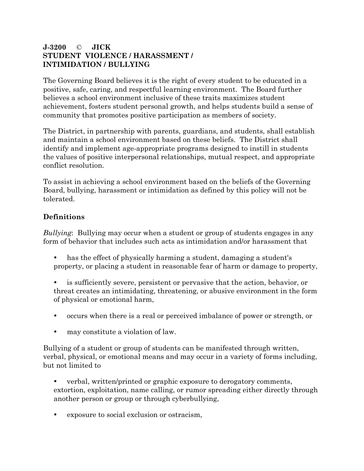## **J-3200** © **JICK STUDENT VIOLENCE / HARASSMENT / INTIMIDATION / BULLYING**

The Governing Board believes it is the right of every student to be educated in a positive, safe, caring, and respectful learning environment. The Board further believes a school environment inclusive of these traits maximizes student achievement, fosters student personal growth, and helps students build a sense of community that promotes positive participation as members of society.

The District, in partnership with parents, guardians, and students, shall establish and maintain a school environment based on these beliefs. The District shall identify and implement age-appropriate programs designed to instill in students the values of positive interpersonal relationships, mutual respect, and appropriate conflict resolution.

To assist in achieving a school environment based on the beliefs of the Governing Board, bullying, harassment or intimidation as defined by this policy will not be tolerated.

## **Definitions**

*Bullying*: Bullying may occur when a student or group of students engages in any form of behavior that includes such acts as intimidation and/or harassment that

- has the effect of physically harming a student, damaging a student's property, or placing a student in reasonable fear of harm or damage to property,
- is sufficiently severe, persistent or pervasive that the action, behavior, or threat creates an intimidating, threatening, or abusive environment in the form of physical or emotional harm,
- occurs when there is a real or perceived imbalance of power or strength, or
- may constitute a violation of law.

Bullying of a student or group of students can be manifested through written, verbal, physical, or emotional means and may occur in a variety of forms including, but not limited to

- verbal, written/printed or graphic exposure to derogatory comments, extortion, exploitation, name calling, or rumor spreading either directly through another person or group or through cyberbullying,
- exposure to social exclusion or ostracism,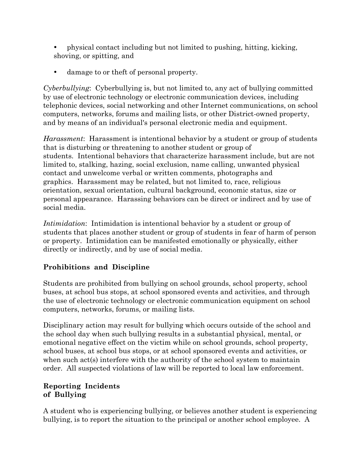- physical contact including but not limited to pushing, hitting, kicking, shoving, or spitting, and
- damage to or theft of personal property.

*Cyberbullying*: Cyberbullying is, but not limited to, any act of bullying committed by use of electronic technology or electronic communication devices, including telephonic devices, social networking and other Internet communications, on school computers, networks, forums and mailing lists, or other District-owned property, and by means of an individual's personal electronic media and equipment.

*Harassment*: Harassment is intentional behavior by a student or group of students that is disturbing or threatening to another student or group of students. Intentional behaviors that characterize harassment include, but are not limited to, stalking, hazing, social exclusion, name calling, unwanted physical contact and unwelcome verbal or written comments, photographs and graphics. Harassment may be related, but not limited to, race, religious orientation, sexual orientation, cultural background, economic status, size or personal appearance. Harassing behaviors can be direct or indirect and by use of social media.

*Intimidation*: Intimidation is intentional behavior by a student or group of students that places another student or group of students in fear of harm of person or property. Intimidation can be manifested emotionally or physically, either directly or indirectly, and by use of social media.

## **Prohibitions and Discipline**

Students are prohibited from bullying on school grounds, school property, school buses, at school bus stops, at school sponsored events and activities, and through the use of electronic technology or electronic communication equipment on school computers, networks, forums, or mailing lists.

Disciplinary action may result for bullying which occurs outside of the school and the school day when such bullying results in a substantial physical, mental, or emotional negative effect on the victim while on school grounds, school property, school buses, at school bus stops, or at school sponsored events and activities, or when such act(s) interfere with the authority of the school system to maintain order. All suspected violations of law will be reported to local law enforcement.

## **Reporting Incidents of Bullying**

A student who is experiencing bullying, or believes another student is experiencing bullying, is to report the situation to the principal or another school employee. A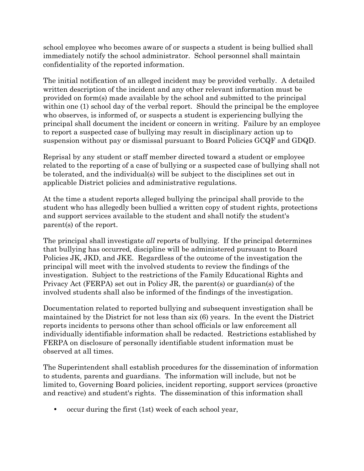school employee who becomes aware of or suspects a student is being bullied shall immediately notify the school administrator. School personnel shall maintain confidentiality of the reported information.

The initial notification of an alleged incident may be provided verbally. A detailed written description of the incident and any other relevant information must be provided on form(s) made available by the school and submitted to the principal within one (1) school day of the verbal report. Should the principal be the employee who observes, is informed of, or suspects a student is experiencing bullying the principal shall document the incident or concern in writing. Failure by an employee to report a suspected case of bullying may result in disciplinary action up to suspension without pay or dismissal pursuant to Board Policies GCQF and GDQD.

Reprisal by any student or staff member directed toward a student or employee related to the reporting of a case of bullying or a suspected case of bullying shall not be tolerated, and the individual(s) will be subject to the disciplines set out in applicable District policies and administrative regulations.

At the time a student reports alleged bullying the principal shall provide to the student who has allegedly been bullied a written copy of student rights, protections and support services available to the student and shall notify the student's parent(s) of the report.

The principal shall investigate *all* reports of bullying. If the principal determines that bullying has occurred, discipline will be administered pursuant to Board Policies JK, JKD, and JKE. Regardless of the outcome of the investigation the principal will meet with the involved students to review the findings of the investigation. Subject to the restrictions of the Family Educational Rights and Privacy Act (FERPA) set out in Policy JR, the parent(s) or guardian(s) of the involved students shall also be informed of the findings of the investigation.

Documentation related to reported bullying and subsequent investigation shall be maintained by the District for not less than six (6) years. In the event the District reports incidents to persons other than school officials or law enforcement all individually identifiable information shall be redacted. Restrictions established by FERPA on disclosure of personally identifiable student information must be observed at all times.

The Superintendent shall establish procedures for the dissemination of information to students, parents and guardians. The information will include, but not be limited to, Governing Board policies, incident reporting, support services (proactive and reactive) and student's rights. The dissemination of this information shall

occur during the first (1st) week of each school year,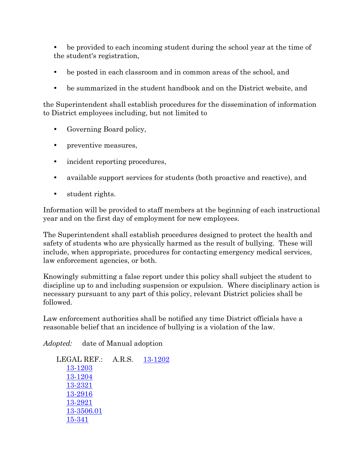be provided to each incoming student during the school year at the time of the student's registration,

- be posted in each classroom and in common areas of the school, and
- be summarized in the student handbook and on the District website, and

the Superintendent shall establish procedures for the dissemination of information to District employees including, but not limited to

- Governing Board policy,
- preventive measures,
- incident reporting procedures,
- available support services for students (both proactive and reactive), and
- student rights.

Information will be provided to staff members at the beginning of each instructional year and on the first day of employment for new employees.

The Superintendent shall establish procedures designed to protect the health and safety of students who are physically harmed as the result of bullying. These will include, when appropriate, procedures for contacting emergency medical services, law enforcement agencies, or both.

Knowingly submitting a false report under this policy shall subject the student to discipline up to and including suspension or expulsion. Where disciplinary action is necessary pursuant to any part of this policy, relevant District policies shall be followed.

Law enforcement authorities shall be notified any time District officials have a reasonable belief that an incidence of bullying is a violation of the law.

*Adopted:* date of Manual adoption

LEGAL REF.: A.R.S. [13-1202](http://lp.ctspublish.com/asba/public/lpext.dll?f=FifLink&t=document-frame.htm&l=jump&iid=PRM.nfo&d=13-1202&sid=6f7ceaa1.816de234.0.0#JD_13-1202) [13-1203](http://lp.ctspublish.com/asba/public/lpext.dll?f=FifLink&t=document-frame.htm&l=jump&iid=PRM.nfo&d=13-1203&sid=6f7ceaa1.816de234.0.0#JD_13-1203) [13-1204](http://lp.ctspublish.com/asba/public/lpext.dll?f=FifLink&t=document-frame.htm&l=jump&iid=PRM.nfo&d=13-1204&sid=6f7ceaa1.816de234.0.0#JD_13-1204) [13-2321](http://lp.ctspublish.com/asba/public/lpext.dll?f=FifLink&t=document-frame.htm&l=jump&iid=C%3A%5CDATA%20FOLDER%5CNFO%5CPRM.NFO&d=13-2321&sid=6f7ceaa1.816de234.0.0#JD_13-2321) [13-2916](http://lp.ctspublish.com/asba/public/lpext.dll?f=FifLink&t=document-frame.htm&l=jump&iid=C%3A%5CDATA%20FOLDER%5CNFO%5CPRM.NFO&d=13-2916&sid=6f7ceaa1.816de234.0.0#JD_13-2916) [13-2921](http://lp.ctspublish.com/asba/public/lpext.dll?f=FifLink&t=document-frame.htm&l=jump&iid=C%3A%5CDATA%20FOLDER%5CNFO%5CPRM.NFO&d=13-2921&sid=6f7ceaa1.816de234.0.0#JD_13-2921) [13-3506.01](http://lp.ctspublish.com/asba/public/lpext.dll?f=FifLink&t=document-frame.htm&l=jump&iid=C%3A%5C1%2042Nfo%5CPRM.NFO&d=13-3506.01&sid=6f7ceaa1.816de234.0.0#JD_13-350601) [15-341](http://lp.ctspublish.com/asba/public/lpext.dll?f=FifLink&t=document-frame.htm&l=jump&iid=Title15.nfo&d=15-341&sid=6f7ceaa1.816de234.0.0#JD_15-341)